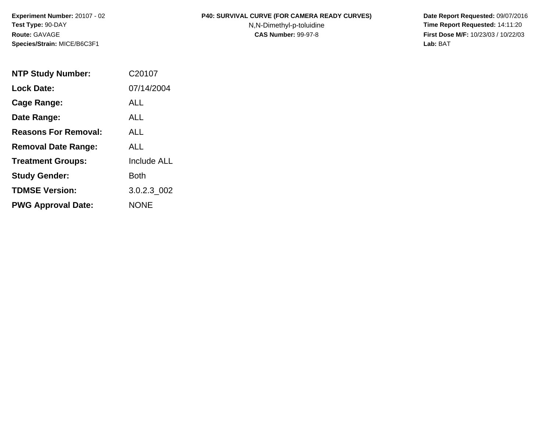**Species/Strain:** MICE/B6C3F1 **Lab:** BAT

## **Experiment Number:** 20107 - 02 **P40: SURVIVAL CURVE (FOR CAMERA READY CURVES) Date Report Requested:** 09/07/2016

**Test Type: 90-DAY N,N-Dimethyl-p-toluidine Time Report Requested: 14:11:20 Route:** GAVAGE **CAS Number:** 99-97-8 **First Dose M/F:** 10/23/03 / 10/22/03

| <b>NTP Study Number:</b>    | C20107             |
|-----------------------------|--------------------|
| <b>Lock Date:</b>           | 07/14/2004         |
| Cage Range:                 | ALL                |
| Date Range:                 | ALL                |
| <b>Reasons For Removal:</b> | ALL.               |
| <b>Removal Date Range:</b>  | ALL                |
| <b>Treatment Groups:</b>    | <b>Include ALL</b> |
| <b>Study Gender:</b>        | <b>Both</b>        |
| <b>TDMSE Version:</b>       | 3.0.2.3 002        |
| <b>PWG Approval Date:</b>   | NONE               |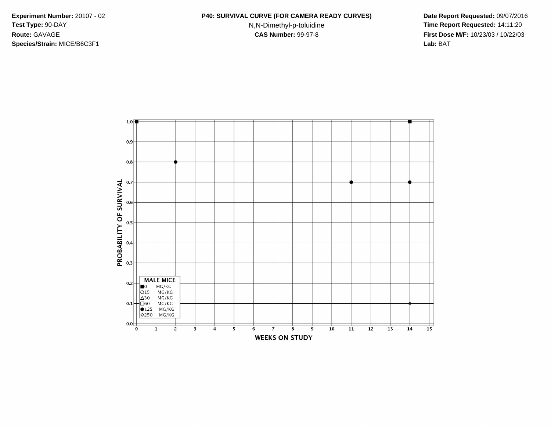**Species/Strain:** MICE/B6C3F1 **Lab:** BAT